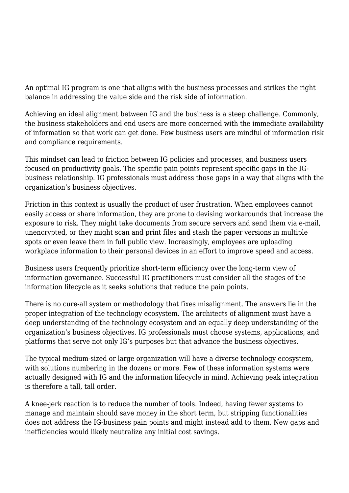An optimal IG program is one that aligns with the business processes and strikes the right balance in addressing the value side and the risk side of information.

Achieving an ideal alignment between IG and the business is a steep challenge. Commonly, the business stakeholders and end users are more concerned with the immediate availability of information so that work can get done. Few business users are mindful of information risk and compliance requirements.

This mindset can lead to friction between IG policies and processes, and business users focused on productivity goals. The specific pain points represent specific gaps in the IGbusiness relationship. IG professionals must address those gaps in a way that aligns with the organization's business objectives.

Friction in this context is usually the product of user frustration. When employees cannot easily access or share information, they are prone to devising workarounds that increase the exposure to risk. They might take documents from secure servers and send them via e-mail, unencrypted, or they might scan and print files and stash the paper versions in multiple spots or even leave them in full public view. Increasingly, employees are uploading workplace information to their personal devices in an effort to improve speed and access.

Business users frequently prioritize short-term efficiency over the long-term view of information governance. Successful IG practitioners must consider all the stages of the information lifecycle as it seeks solutions that reduce the pain points.

There is no cure-all system or methodology that fixes misalignment. The answers lie in the proper integration of the technology ecosystem. The architects of alignment must have a deep understanding of the technology ecosystem and an equally deep understanding of the organization's business objectives. IG professionals must choose systems, applications, and platforms that serve not only IG's purposes but that advance the business objectives.

The typical medium-sized or large organization will have a diverse technology ecosystem, with solutions numbering in the dozens or more. Few of these information systems were actually designed with IG and the information lifecycle in mind. Achieving peak integration is therefore a tall, tall order.

A knee-jerk reaction is to reduce the number of tools. Indeed, having fewer systems to manage and maintain should save money in the short term, but stripping functionalities does not address the IG-business pain points and might instead add to them. New gaps and inefficiencies would likely neutralize any initial cost savings.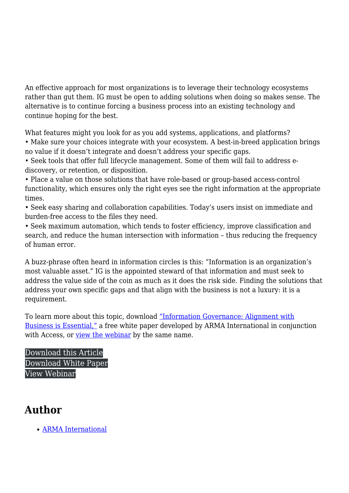An effective approach for most organizations is to leverage their technology ecosystems rather than gut them. IG must be open to adding solutions when doing so makes sense. The alternative is to continue forcing a business process into an existing technology and continue hoping for the best.

What features might you look for as you add systems, applications, and platforms? • Make sure your choices integrate with your ecosystem. A best-in-breed application brings no value if it doesn't integrate and doesn't address your specific gaps.

• Seek tools that offer full lifecycle management. Some of them will fail to address ediscovery, or retention, or disposition.

• Place a value on those solutions that have role-based or group-based access-control functionality, which ensures only the right eyes see the right information at the appropriate times.

• Seek easy sharing and collaboration capabilities. Today's users insist on immediate and burden-free access to the files they need.

• Seek maximum automation, which tends to foster efficiency, improve classification and search, and reduce the human intersection with information – thus reducing the frequency of human error.

A buzz-phrase often heard in information circles is this: "Information is an organization's most valuable asset." IG is the appointed steward of that information and must seek to address the value side of the coin as much as it does the risk side. Finding the solutions that address your own specific gaps and that align with the business is not a luxury: it is a requirement.

To learn more about this topic, download ["Information Governance: Alignment with](https://ARMAI.informz.net/ARMAI/pages/Access_Alignment_White_Paper) [Business is Essential,"](https://ARMAI.informz.net/ARMAI/pages/Access_Alignment_White_Paper) a free white paper developed by ARMA International in conjunction with Access, or [view the webinar](https://youtu.be/0em02G8njj4?list=PL2v4jVVr3jyweBCJiawyuO6qk2_2Kow5y) by the same name.

[Download this Article](https://magazine.arma.org/wp-content/uploads/2020/12/Article-Information-Governance_-Alignment-with-Business-is-Essential.pdf) [Download White Paper](https://ARMAI.informz.net/ARMAI/pages/Access_Alignment_White_Paper) [View Webinar](https://www.youtube.com/watch?v=0em02G8njj4)

## **Author**

[ARMA International](https://magazine.arma.org/author/admin/)